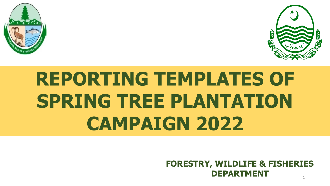



## **REPORTING TEMPLATES OF SPRING TREE PLANTATION CAMPAIGN 2022**

**FORESTRY, WILDLIFE & FISHERIES DEPARTMENT**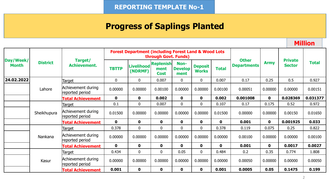## **Progress of Saplings Planted**

**Million**

|                           |                  |                                       |                  | <b>Forest Department (including Forest Land &amp; Wood Lots)</b> | through Govt. Funds)                    |                                |                                |              |                                    |             |                                 |          |
|---------------------------|------------------|---------------------------------------|------------------|------------------------------------------------------------------|-----------------------------------------|--------------------------------|--------------------------------|--------------|------------------------------------|-------------|---------------------------------|----------|
| Day/Week/<br><b>Month</b> | <b>District</b>  | Target/<br><b>Achievement.</b>        | <b>TBTTP</b>     | <b>Livelihood</b><br>(NDRMF)                                     | <b>Replenish</b><br>ment<br><b>Cost</b> | Non-<br><b>Develop</b><br>ment | <b>Deposit</b><br><b>Works</b> | <b>Total</b> | <b>Other</b><br><b>Departments</b> | <b>Army</b> | <b>Private</b><br><b>Sector</b> | Total    |
| 24.02.2022                |                  | Target                                | $\boldsymbol{0}$ | $\mathbf 0$                                                      | 0.007                                   | $\mathbf 0$                    | 0                              | 0.007        | 0.17                               | 0.25        | 0.5                             | 0.927    |
|                           | Lahore           | Achievement during<br>reported period | 0.00000          | 0.00000                                                          | 0.00100                                 | 0.00000                        | 0.00000                        | 0.00100      | 0.00051                            | 0.00000     | 0.00000                         | 0.00151  |
|                           |                  | <b>Total Achievement</b>              | $\mathbf 0$      | 0                                                                | 0.002                                   | $\mathbf 0$                    | $\mathbf 0$                    | 0.002        | 0.001008                           | $\mathbf 0$ | 0.028369                        | 0.031377 |
|                           | Sheikhupura      | Target                                | 0.1              | $\mathbf 0$                                                      | 0.007                                   | $\mathbf 0$                    | $\boldsymbol{0}$               | 0.107        | 0.17                               | 0.175       | 0.52                            | 0.972    |
|                           |                  | Achievement during<br>reported period | 0.01500          | 0.00000                                                          | 0.00000                                 | 0.00000                        | 0.00000                        | 0.01500      | 0.00000                            | 0.00000     | 0.00150                         | 0.01650  |
|                           |                  | <b>Total Achievement</b>              | $\mathbf 0$      | $\mathbf 0$                                                      | $\mathbf 0$                             | $\mathbf 0$                    | $\mathbf 0$                    | $\mathbf{0}$ | 0.001                              | $\mathbf 0$ | 0.001925                        | 0.033    |
|                           |                  | Target                                | 0.378            | $\mathbf 0$                                                      | $\mathbf 0$                             | $\mathbf 0$                    | $\mathbf 0$                    | 0.378        | 0.119                              | 0.075       | 0.25                            | 0.822    |
|                           | Nankana<br>Kasur | Achievement during<br>reported period | 0.00000          | 0.00000                                                          | 0.00000                                 | 0.00000                        | 0.00000                        | 0.00000      | 0.00100                            | 0.00000     | 0.00000                         | 0.00100  |
|                           |                  | <b>Total Achievement</b>              | $\mathbf{0}$     | $\mathbf 0$                                                      | $\mathbf 0$                             | $\mathbf 0$                    | $\mathbf 0$                    | $\mathbf 0$  | 0.001                              | $\mathbf 0$ | 0.0017                          | 0.0027   |
|                           |                  | Target                                | 0.434            | $\mathbf 0$                                                      | $\mathbf 0$                             | 0.05                           | $\mathbf{0}$                   | 0.484        | 0.2                                | 0.35        | 0.774                           | 1.808    |
|                           |                  | Achievement during<br>reported period | 0.00000          | 0.00000                                                          | 0.00000                                 | 0.00000                        | 0.00000                        | 0.00000      | 0.00050                            | 0.00000     | 0.00000                         | 0.00050  |
|                           |                  | <b>Total Achievement</b>              | 0.001            | $\mathbf 0$                                                      | $\mathbf 0$                             | $\mathbf 0$                    | $\mathbf 0$                    | 0.001        | 0.0005                             | 0.05        | 0.1475                          | 0.199    |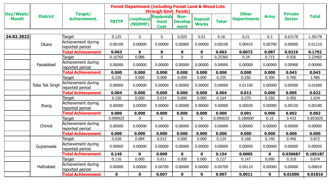| Day/Week/    |                 | Target/                               |              | <b>Forest Department (including Forest Land &amp; Wood Lots</b> | through Govt. Funds)                    |                                |                                |              | <b>Other</b>       |             | <b>Private</b> |              |
|--------------|-----------------|---------------------------------------|--------------|-----------------------------------------------------------------|-----------------------------------------|--------------------------------|--------------------------------|--------------|--------------------|-------------|----------------|--------------|
| <b>Month</b> | <b>District</b> | <b>Achievement.</b>                   | <b>TBTTP</b> | <b>Livelihood</b><br>(NDRMF)                                    | <b>Replenish</b><br>ment<br><b>Cost</b> | Non-<br><b>Develop</b><br>ment | <b>Deposit</b><br><b>Works</b> | <b>Total</b> | <b>Departments</b> | <b>Army</b> | <b>Sector</b>  | <b>Total</b> |
|              |                 |                                       |              |                                                                 |                                         |                                |                                |              |                    |             |                |              |
| 24.02.2022   |                 | Target                                | 0.125        | $\mathbf 0$                                                     | 0                                       | 0.025                          | 0.01                           | 0.16         | 0.21               | 0.3         | 0.63178        | 1.30178      |
|              | Okara           | Achievement during<br>reported period | 0.00100      | 0.00000                                                         | 0.00000                                 | 0.00000                        | 0.00000                        | 0.00100      | 0.00410            | 0.00700     | 0.00000        | 0.01210      |
|              |                 | <b>Total Achievement</b>              | 0.063        | $\mathbf 0$                                                     | $\mathbf 0$                             | $\mathbf 0$                    | $\mathbf 0$                    | 0.063        | 0.0073             | 0.087       | 0.0219         | 0.1792       |
|              |                 | Target                                | 0.16765      | 0.086                                                           | $\overline{0}$                          | $\overline{0}$                 | $\overline{0}$                 | 0.25365      | 0.34               | 0.715       | 0.926          | 2.23465      |
|              | Faisalabad      | Achievement during<br>reported period | 0.00000      | 0.00000                                                         | 0.00000                                 | 0.00000                        | 0.00000                        | 0.00000      | 0.00000            | 0.00000     | 0.00900        | 0.00900      |
|              |                 | <b>Total Achievement</b>              | 0.000        | 0.000                                                           | 0.000                                   | 0.000                          | 0.000                          | 0.000        | 0.000              | 0.000       | 0.043          | 0.043        |
|              |                 | Target                                | 0.226        | 0.000                                                           | 0.008                                   | 0.000                          | 0.000                          | 0.235        | 0.250              | 0.300       | 0.700          | 1.485        |
|              | Toba Tek Singh  | Achievement during<br>reported period | 0.00000      | 0.00000                                                         | 0.00000                                 | 0.00000                        | 0.00000                        | 0.00000      | 0.01100            | 0.00000     | 0.00500        | 0.01600      |
|              |                 | <b>Total Achievement</b>              | 0.004        | 0.000                                                           | 0.000                                   | 0.000                          | 0.000                          | 0.004        | 0.013              | 0.000       | 0.005          | 0.022        |
|              |                 | Target                                | 0.150        | 0.000                                                           | 0.014                                   | 0.000                          | 0.000                          | 0.164        | 0.270              | 0.250       | 0.950          | 1.634        |
|              | <b>Jhang</b>    | Achievement during<br>reported period | 0.00000      | 0.00000                                                         | 0.00000                                 | 0.00000                        | 0.00000                        | 0.00000      | 0.00030            | 0.00000     | 0.00150        | 0.00180      |
|              |                 | <b>Total Achievement</b>              | 0.000        | 0.000                                                           | 0.000                                   | 0.000                          | 0.000                          | 0.000        | 0.001              | 0.000       | 0.002          | 0.002        |
|              |                 | Target                                | 0.090025     | $\mathbf 0$                                                     | $\mathbf 0$                             | $\overline{0}$                 | $\mathbf{0}$                   | 0.090025     | 0.180000           | 0.15        | 0.433          | 0.853025     |
|              | Chiniot         | Achievement during<br>reported period | 0.00000      | 0.00000                                                         | 0.00000                                 | 0.00000                        | 0.00000                        | 0.00000      | 0.00000            | 0.00000     | 0.00000        | 0.00000      |
|              |                 | <b>Total Achievement</b>              | 0.000        | 0.000                                                           | 0.000                                   | 0.000                          | 0.000                          | 0.000        | 0.000              | 0.000       | 0.000          | 0.000        |
|              |                 | Target                                | 0.028        | 0.084                                                           | 0.012                                   | 0.000                          | 0.000                          | 0.124        | 0.168              | 0.140       | 0.440          | 0.872        |
|              | Gujranwala      | Achievement during<br>reported period | 0.00000      | 0.00000                                                         | 0.00000                                 | 0.00000                        | 0.00000                        | 0.00000      | 0.00050            | 0.00000     | 0.00000        | 0.00050      |
|              |                 | <b>Fotal Achievement</b>              | 0.145        | $\mathbf 0$                                                     | 0.009                                   | $\mathbf 0$                    | $\mathbf 0$                    | 0.154        | 0.0005             | $\mathbf 0$ | 0.030687       | 0.185187     |
|              | Hafizabad       | Target                                | 0.116        | 0.000                                                           | 0.011                                   | 0.000                          | 0.000                          | 0.127        | 0.147              | 0.090       | 0.310          | 0.674        |
|              |                 | Achievement during<br>reported period | 0.00000      | 0.00000                                                         | 0.00700                                 | 0.00000                        | 0.00000                        | 0.00700      | 0.00110            | 0.00000     | 0.00000        | 0.00810      |
|              |                 | <b>Total Achievement</b>              | $\mathbf{0}$ | $\mathbf 0$                                                     | 0.007                                   | $\mathbf 0$                    | $\mathbf 0$                    | 0.007        | 0.0011             | $\mathbf 0$ | 0.01006        | 0.01816      |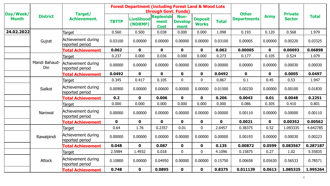|                           |                      |                                       |              | <b>Forest Department (including Forest Land &amp; Wood Lots</b> | through Govt. Funds)                    |                                |                                |              | <b>Other</b>       |             | <b>Private</b> |              |
|---------------------------|----------------------|---------------------------------------|--------------|-----------------------------------------------------------------|-----------------------------------------|--------------------------------|--------------------------------|--------------|--------------------|-------------|----------------|--------------|
| Day/Week/<br><b>Month</b> | <b>District</b>      | Target/<br><b>Achievement.</b>        | <b>TBTTP</b> | Livelihood<br>(NDRMF)                                           | <b>Replenish</b><br>ment<br><b>Cost</b> | Non-<br><b>Develop</b><br>ment | <b>Deposit</b><br><b>Works</b> | <b>Total</b> | <b>Departments</b> | <b>Army</b> | <b>Sector</b>  | <b>Total</b> |
| 24.02.2022                |                      | Target                                | 0.560        | 0.500                                                           | 0.038                                   | 0.000                          | 0.000                          | 1.098        | 0.193              | 0.120       | 0.568          | 1.979        |
|                           | Gujrat               | Achievement during<br>reported period | 0.03100      | 0.00000                                                         | 0.00000                                 | 0.00000                        | 0.00000                        | 0.03100      | 0.00005            | 0.00000     | 0.00220        | 0.03325      |
|                           |                      | <b>Total Achievement</b>              | 0.062        | $\mathbf 0$                                                     | $\mathbf 0$                             | $\mathbf 0$                    | $\mathbf 0$                    | 0.062        | 0.00005            | $\mathbf 0$ | 0.00693        | 0.06898      |
|                           |                      | <b>Target</b>                         | 0.237        | 0.000                                                           | 0.036                                   | 0.000                          | 0.000                          | 0.273        | 0.177              | 0.105       | 0.524          | 1.079        |
|                           | Mandi Bahaud-<br>Din | Achievement during<br>reported period | 0.00000      | 0.00000                                                         | 0.00000                                 | 0.00000                        | 0.00000                        | 0.00000      | 0.00000            | 0.00000     | 0.00030        | 0.00030      |
|                           |                      | <b>Total Achievement</b>              | 0.0492       | $\mathbf 0$                                                     | $\mathbf 0$                             | $\mathbf 0$                    | $\mathbf 0$                    | 0.0492       | $\mathbf 0$        | $\mathbf 0$ | 0.0005         | 0.0497       |
|                           | Sialkot              | Target                                | 0.345        | 0.417                                                           | 0.105                                   | $\overline{0}$                 | $\mathbf 0$                    | 0.867        | 0.1                | 0.45        | 0.53           | 1.947        |
|                           |                      | Achievement during<br>reported period | 0.00900      | 0.00000                                                         | 0.00600                                 | 0.00000                        | 0.00000                        | 0.01500      | 0.00230            | 0.00000     | 0.00100        | 0.01830      |
|                           |                      | <b>Total Achievement</b>              | 0.2          | $\mathbf 0$                                                     | 0.006                                   | $\mathbf{0}$                   | $\mathbf 0$                    | 0.206        | 0.0043             | 0.01        | 0.0048         | 0.2251       |
|                           |                      | <b>Target</b>                         | 0.000        | 0.000                                                           | 0.000                                   | 0.000                          | 0.000                          | 0.000        | 0.086              | 0.305       | 0.410          | 0.801        |
|                           | Narowal              | Achievement during<br>reported period | 0.00000      | 0.00000                                                         | 0.00000                                 | 0.00000                        | 0.00000                        | 0.00000      | 0.00110            | 0.00000     | 0.00000        | 0.00110      |
|                           |                      | <b>Total Achievement</b>              | $\mathbf 0$  | $\mathbf 0$                                                     | $\mathbf 0$                             | $\mathbf 0$                    | $\mathbf 0$                    | $\mathbf 0$  | 0.0021             | $\mathbf 0$ | 0.00352        | 0.00562      |
|                           |                      | Target                                | 0.64         | 1.76                                                            | 0.2357                                  | 0.01                           | $\mathbf 0$                    | 2.6457       | 0.38375            | 0.52        | 1.093335       | 4.642785     |
|                           | Rawalpindi           | Achievement during<br>reported period | 0.00000      | 0.00000                                                         | 0.00000                                 | 0.00000                        | 0.00000                        | 0.00000      | 0.00193            | 0.00000     | 0.00030        | 0.00223      |
|                           |                      | <b>Total Achievement</b>              | 0.048        | $\mathbf 0$                                                     | 0.087                                   | $\mathbf{0}$                   | $\mathbf 0$                    | 0.135        | 0.00872            | 0.0599      | 0.083567       | 0.287187     |
|                           | Attock               | <b>Target</b>                         | 2.5984       | 1.4932                                                          | 0.018                                   | $\mathbf 0$                    | $\mathbf 0$                    | 4.1096       | 0.15875            | 0.27        | 1.02           | 5.55835      |
|                           |                      | Achievement during<br>reported period | 0.10800      | 0.00000                                                         | 0.04950                                 | 0.00000                        | 0.00000                        | 0.15750      | 0.00658            | 0.05630     | 0.56533        | 0.78571      |
|                           |                      | <b>Total Achievement</b>              | 0.748        | $\mathbf 0$                                                     | 0.0895                                  | $\mathbf 0$                    | $\mathbf 0$                    | 0.8375       | 0.011139           | 0.0613      | 1.085325       | 1.995264     |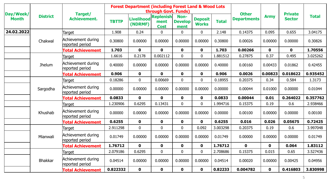|                           |                 |                                       |              | <b>Forest Department (including Forest Land &amp; Wood Lots</b> | through Govt. Funds)                    |                                |                                |              |                                    |             |                                 |              |
|---------------------------|-----------------|---------------------------------------|--------------|-----------------------------------------------------------------|-----------------------------------------|--------------------------------|--------------------------------|--------------|------------------------------------|-------------|---------------------------------|--------------|
| Day/Week/<br><b>Month</b> | <b>District</b> | Target/<br><b>Achievement.</b>        | <b>TBTTP</b> | <b>Livelihood</b><br>(NDRMF)                                    | <b>Replenish</b><br>ment<br><b>Cost</b> | Non-<br><b>Develop</b><br>ment | <b>Deposit</b><br><b>Works</b> | <b>Total</b> | <b>Other</b><br><b>Departments</b> | <b>Army</b> | <b>Private</b><br><b>Sector</b> | <b>Total</b> |
| 24.02.2022                |                 | Target                                | 1.908        | 0.24                                                            | $\mathbf 0$                             | 0                              | $\mathbf{0}$                   | 2.148        | 0.14375                            | 0.095       | 0.655                           | 3.04175      |
|                           | Chakwal         | Achievement during<br>reported period | 0.30800      | 0.00000                                                         | 0.00000                                 | 0.00000                        | 0.00000                        | 0.30800      | 0.00026                            | 0.00000     | 0.00000                         | 0.30826      |
|                           |                 | <b>Total Achievement</b>              | 1.703        | $\mathbf 0$                                                     | $\mathbf 0$                             | $\mathbf{0}$                   | $\mathbf 0$                    | 1.703        | 0.00266                            | $\mathbf 0$ | $\mathbf 0$                     | 1.70556      |
|                           |                 | Target                                | 1.6616       | 0.2178                                                          | 0.002112                                | $\overline{0}$                 | $\mathbf{0}$                   | 1.881512     | 0.27875                            | 0.37        | 0.495                           | 3.025262     |
|                           | Jhelum          | Achievement during<br>reported period | 0.40000      | 0.00000                                                         | 0.00000                                 | 0.00000                        | 0.00000                        | 0.40000      | 0.00160                            | 0.00433     | 0.01862                         | 0.42455      |
|                           |                 | <b>Total Achievement</b>              | 0.906        | $\mathbf 0$                                                     | $\mathbf 0$                             | $\mathbf 0$                    | $\mathbf 0$                    | 0.906        | 0.0026                             | 0.00823     | 0.018622                        | 0.935452     |
|                           |                 | Target                                | 0.18286      | $\mathbf 0$                                                     | 0.00669                                 | $\mathbf{0}$                   | $\mathbf{0}$                   | 0.18955      | 0.20375                            | 0.34        | 0.584                           | 1.3173       |
|                           | Sargodha        | Achievement during<br>reported period | 0.00000      | 0.00000                                                         | 0.00000                                 | 0.00000                        | 0.00000                        | 0.00000      | 0.00044                            | 0.01000     | 0.00000                         | 0.01044      |
|                           |                 | <b>Total Achievement</b>              | 0.0833       | $\mathbf 0$                                                     | $\mathbf 0$                             | $\mathbf 0$                    | $\mathbf 0$                    | 0.0833       | 0.00044                            | 0.01        | 0.264022                        | 0.357762     |
|                           |                 | Target                                | 1.230906     | 0.6295                                                          | 0.13431                                 | $\mathbf{0}$                   | 0                              | 1.994716     | 0.15375                            | 0.19        | 0.6                             | 2.938466     |
|                           | Khushab         | Achievement during<br>reported period | 0.00000      | 0.00000                                                         | 0.00000                                 | 0.00000                        | 0.00000                        | 0.00000      | 0.00100                            | 0.00000     | 0.00000                         | 0.00100      |
|                           |                 | <b>Total Achievement</b>              | 0.6255       | $\mathbf 0$                                                     | $\mathbf 0$                             | $\mathbf 0$                    | $\mathbf 0$                    | 0.6255       | 0.016                              | 0.026       | 0.05675                         | 0.72425      |
|                           |                 | Target                                | 2.911298     | $\mathbf 0$                                                     | $\mathbf 0$                             | 0                              | 0.092                          | 3.003298     | 0.20375                            | 0.19        | 0.6                             | 3.997048     |
|                           | Mianwali        | Achievement during<br>reported period | 0.01749      | 0.00000                                                         | 0.00000                                 | 0.00000                        | 0.00000                        | 0.01749      | 0.00000                            | 0.00000     | 0.00000                         | 0.01749      |
|                           |                 | <b>Total Achievement</b>              | 1.76712      | $\mathbf 0$                                                     | $\mathbf 0$                             | $\mathbf 0$                    | $\mathbf 0$                    | 1.76712      | $\mathbf 0$                        | $\mathbf 0$ | 0.064                           | 1.83112      |
|                           |                 | Target                                | 2.079186     | 0.6295                                                          | $\mathbf 0$                             | 0                              | $\mathbf 0$                    | 2.708686     | 0.15375                            | 0.015       | 0.65                            | 3.527436     |
|                           | <b>Bhakkar</b>  | Achievement during<br>reported period | 0.04514      | 0.00000                                                         | 0.00000                                 | 0.00000                        | 0.00000                        | 0.04514      | 0.00020                            | 0.00000     | 0.00425                         | 0.04956      |
|                           |                 | <b>Total Achievement</b>              | 0.822332     | $\mathbf 0$                                                     | $\mathbf 0$                             | $\mathbf 0$                    | $\mathbf 0$                    | 0.82233      | 0.004782                           | $\mathbf 0$ | 0.416803                        | 3.830998     |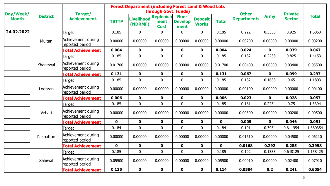|                           |                 |                                       |              | <b>Forest Department (including Forest Land &amp; Wood Lots</b> | through Govt. Funds)                    |                                |                                |              |                                    |              |                                 |              |
|---------------------------|-----------------|---------------------------------------|--------------|-----------------------------------------------------------------|-----------------------------------------|--------------------------------|--------------------------------|--------------|------------------------------------|--------------|---------------------------------|--------------|
| Day/Week/<br><b>Month</b> | <b>District</b> | Target/<br><b>Achievement.</b>        | <b>TBTTP</b> | <b>Livelihood</b><br>(NDRMF)                                    | <b>Replenish</b><br>ment<br><b>Cost</b> | Non-<br><b>Develop</b><br>ment | <b>Deposit</b><br><b>Works</b> | <b>Total</b> | <b>Other</b><br><b>Departments</b> | <b>Army</b>  | <b>Private</b><br><b>Sector</b> | <b>Total</b> |
| 24.02.2022                |                 | Target                                | 0.185        | $\mathbf 0$                                                     | $\mathbf{0}$                            | $\overline{0}$                 | $\mathbf 0$                    | 0.185        | 0.222                              | 0.3533       | 0.925                           | 1.6853       |
|                           | Multan          | Achievement during<br>reported period | 0.00000      | 0.00000                                                         | 0.00000                                 | 0.00000                        | 0.00000                        | 0.00000      | 0.00200                            | 0.00000      | 0.00000                         | 0.00200      |
|                           |                 | <b>Total Achievement</b>              | 0.004        | $\mathbf 0$                                                     | $\mathbf 0$                             | $\mathbf 0$                    | $\mathbf{0}$                   | 0.004        | 0.024                              | $\mathbf 0$  | 0.039                           | 0.067        |
|                           |                 | Target                                | 0.185        | $\mathbf 0$                                                     | $\mathbf 0$                             | $\mathbf 0$                    | $\overline{0}$                 | 0.185        | 0.182                              | 0.2233       | 0.825                           | 1.4153       |
|                           | Khanewal        | Achievement during<br>reported period | 0.01700      | 0.00000                                                         | 0.00000                                 | 0.00000                        | 0.00000                        | 0.01700      | 0.00400                            | 0.00000      | 0.03400                         | 0.05500      |
|                           |                 | <b>Total Achievement</b>              | 0.131        | $\mathbf 0$                                                     | $\mathbf 0$                             | $\mathbf 0$                    | $\mathbf 0$                    | 0.131        | 0.067                              | $\mathbf 0$  | 0.099                           | 0.297        |
|                           |                 | Target                                | 0.185        | $\mathbf 0$                                                     | $\mathbf 0$                             | $\overline{0}$                 | $\overline{0}$                 | 0.185        | 0.182                              | 0.1633       | 0.65                            | 1.1803       |
|                           | Lodhran         | Achievement during<br>reported period | 0.00000      | 0.00000                                                         | 0.00000                                 | 0.00000                        | 0.00000                        | 0.00000      | 0.00100                            | 0.00000      | 0.00000                         | 0.00100      |
|                           |                 | <b>Fotal Achievement</b>              | 0.006        | $\mathbf 0$                                                     | $\mathbf 0$                             | $\mathbf 0$                    | $\mathbf 0$                    | 0.006        | 0.023                              | $\mathbf{0}$ | 0.028                           | 0.057        |
|                           |                 | Target                                | 0.185        | $\pmb{0}$                                                       | $\mathbf 0$                             | $\mathbf 0$                    | $\overline{0}$                 | 0.185        | 0.181                              | 0.2234       | 0.75                            | 1.3394       |
|                           | Vehari          | Achievement during<br>reported period | 0.00000      | 0.00000                                                         | 0.00000                                 | 0.00000                        | 0.00000                        | 0.00000      | 0.00300                            | 0.00000      | 0.00200                         | 0.00500      |
|                           |                 | <b>Total Achievement</b>              | $\mathbf 0$  | $\mathbf 0$                                                     | $\mathbf 0$                             | $\mathbf 0$                    | $\mathbf 0$                    | $\mathbf 0$  | 0.005                              | $\mathbf 0$  | 0.046                           | 0.051        |
|                           |                 | Target                                | 0.184        | $\bf{0}$                                                        | $\mathbf 0$                             | $\mathbf 0$                    | $\mathbf 0$                    | 0.184        | 0.191                              | 0.3934       | 0.611954                        | 1.380354     |
|                           | Pakpattan       | Achievement during<br>reported period | 0.00000      | 0.00000                                                         | 0.00000                                 | 0.00000                        | 0.00000                        | 0.00000      | 0.01610                            | 0.00000      | 0.04500                         | 0.06110      |
|                           |                 | <b>Total Achievement</b>              | $\mathbf{0}$ | $\mathbf 0$                                                     | $\mathbf 0$                             | $\mathbf 0$                    | $\mathbf 0$                    | $\mathbf 0$  | 0.0168                             | 0.292        | 0.285                           | 0.3958       |
|                           |                 | Target                                | 0.185        | $\overline{0}$                                                  | $\mathbf 0$                             | $\overline{0}$                 | $\overline{0}$                 | 0.185        | 0.192                              | 0.1333       | 0.648125                        | 1.158425     |
|                           | Sahiwal         | Achievement during<br>reported period | 0.05500      | 0.00000                                                         | 0.00000                                 | 0.00000                        | 0.00000                        | 0.05500      | 0.00010                            | 0.00000      | 0.02400                         | 0.07910      |
|                           |                 | <b>Total Achievement</b>              | 0.135        | $\mathbf 0$                                                     | $\mathbf 0$                             | $\mathbf{0}$                   | $\mathbf 0$                    | 0.114        | 0.0504                             | 0.2          | 0.241                           | 0.6054       |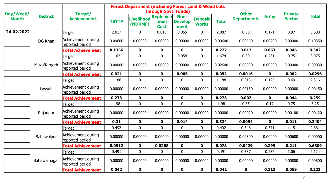|                           |                 |                                       |              | <b>Forest Department (including Forest Land &amp; Wood Lots</b> | through Govt. Funds)                    |                                |                                |              | <b>Other</b>       |              | <b>Private</b> |              |
|---------------------------|-----------------|---------------------------------------|--------------|-----------------------------------------------------------------|-----------------------------------------|--------------------------------|--------------------------------|--------------|--------------------|--------------|----------------|--------------|
| Day/Week/<br><b>Month</b> | <b>District</b> | Target/<br><b>Achievement.</b>        | <b>TBTTP</b> | <b>Livelihood</b><br>(NDRMF)                                    | <b>Replenish</b><br>ment<br><b>Cost</b> | Non-<br><b>Develop</b><br>ment | <b>Deposit</b><br><b>Works</b> | <b>Total</b> | <b>Departments</b> | <b>Army</b>  | <b>Sector</b>  | <b>Total</b> |
| 24.02.2022                |                 | Target                                | 2.017        | $\mathbf 0$                                                     | 0.015                                   | 0.055                          | $\mathbf{0}$                   | 2.087        | 0.38               | 0.171        | 0.97           | 3.608        |
|                           | DG Khan         | Achievement during<br>reported period | 0.09600      | 0.00000                                                         | 0.00000                                 | 0.00000                        | 0.00000                        | 0.09600      | 0.00550            | 0.00200      | 0.00000        | 0.10350      |
|                           |                 | <b>Total Achievement</b>              | 0.1356       | $\mathbf 0$                                                     | $\mathbf 0$                             | $\mathbf{0}$                   | $\mathbf 0$                    | 0.222        | 0.012              | 0.063        | 0.046          | 0.342        |
|                           |                 | <b>Target</b>                         | 1.62         | $\pmb{0}$                                                       | $\pmb{0}$                               | 0.054                          | $\mathbf 0$                    | 1.674        | 0.39               | 0.261        | 0.75           | 3.075        |
|                           | Muzaffargarh    | Achievement during<br>reported period | 0.00000      | 0.00000                                                         | 0.00000                                 | 0.00000                        | 0.00000                        | 0.02600      | 0.00030            | 0.00000      | 0.00000        | 0.00030      |
|                           |                 | <b>Total Achievement</b>              | 0.021        | $\mathbf 0$                                                     | $\mathbf 0$                             | 0.005                          | $\mathbf 0$                    | 0.052        | 0.0016             | $\mathbf 0$  | 0.002          | 0.0296       |
|                           | Layyah          | Target                                | 1.188        | $\mathbf 0$                                                     | $\mathbf 0$                             | $\mathbf 0$                    | $\overline{0}$                 | 1.188        | 0.313              | 0.125        | 0.69           | 2.316        |
|                           |                 | Achievement during<br>reported period | 0.00000      | 0.00000                                                         | 0.00000                                 | 0.00000                        | 0.00000                        | 0.00000      | 0.00150            | 0.00000      | 0.00000        | 0.00150      |
|                           |                 | <b>Total Achievement</b>              | 0.273        | $\mathbf 0$                                                     | $\mathbf 0$                             | $\mathbf{0}$                   | $\mathbf 0$                    | 0.273        | 0.002              | $\mathbf{0}$ | 0.044          | 0.259        |
|                           |                 | Target                                | 1.98         | $\mathbf 0$                                                     | $\mathbf 0$                             | $\mathbf 0$                    | 0                              | 1.98         | 0.35               | 0.17         | 0.75           | 3.25         |
|                           | Rajanpur        | Achievement during<br>reported period | 0.00000      | 0.00000                                                         | 0.00000                                 | 0.00000                        | 0.00000                        | 0.00000      | 0.00020            | 0.00000      | 0.00100        | 0.00120      |
|                           |                 | <b>Total Achievement</b>              | 0.31         | $\mathbf 0$                                                     | $\mathbf 0$                             | 0.014                          | $\mathbf 0$                    | 0.324        | 0.0054             | $\mathbf 0$  | 0.011          | 0.3404       |
|                           |                 | Target                                | 0.492        | $\mathbf 0$                                                     | $\mathbf 0$                             | $\mathbf 0$                    | $\overline{0}$                 | 0.492        | 0.348              | 0.371        | 1.15           | 2.361        |
|                           | Bahawalpur      | Achievement during<br>reported period | 0.00000      | 0.00000                                                         | 0.00000                                 | 0.00000                        | 0.00000                        | 0.00000      | 0.00300            | 0.00000      | 0.00600        | 0.00900      |
|                           |                 | <b>Total Achievement</b>              | 0.0512       | $\mathbf 0$                                                     | 0.0268                                  | $\mathbf 0$                    | $\mathbf 0$                    | 0.078        | 0.0429             | 0.299        | 0.211          | 0.6309       |
|                           | Bahawalnagar    | Target                                | 0.491        | $\mathbf 0$                                                     | $\mathbf 0$                             | $\mathbf 0$                    | $\mathbf 0$                    | 0.491        | 0.337              | 0.236        | 1.06           | 2.124        |
|                           |                 | Achievement during<br>reported period | 0.00000      | 0.00000                                                         | 0.00000                                 | 0.00000                        | 0.00000                        | 0.00000      | 0.00000            | 0.00000      | 0.00800        | 0.00800      |
|                           |                 | <b>Total Achievement</b>              | 0.042        | $\mathbf 0$                                                     | $\mathbf 0$                             | $\mathbf{0}$                   | $\mathbf 0$                    | 0.042        | $\mathbf 0$        | 0.112        | 0.069          | 0.223        |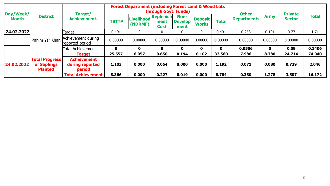| Day/Week/    |                                                        |                                                 |              | <b>Forest Department (including Forest Land &amp; Wood Lots)</b> | through Govt. Funds) |                                |                         |              | <b>Other</b>       |             | <b>Private</b> |              |
|--------------|--------------------------------------------------------|-------------------------------------------------|--------------|------------------------------------------------------------------|----------------------|--------------------------------|-------------------------|--------------|--------------------|-------------|----------------|--------------|
| <b>Month</b> | <b>District</b>                                        | Target/<br><b>Achievement.</b>                  | <b>TBTTP</b> | Livelihood Replenish<br>(NDRMF)                                  | ment<br><b>Cost</b>  | Non-<br><b>Develop</b><br>ment | Deposit<br><b>Works</b> | <b>Total</b> | <b>Departments</b> | <b>Army</b> | <b>Sector</b>  | <b>Total</b> |
| 24.02.2022   |                                                        | Target                                          | 0.491        | $\mathbf 0$                                                      | $\mathbf 0$          | 0                              |                         | 0.491        | 0.258              | 0.191       | 0.77           | 1.71         |
|              | Rahim Yar Khan                                         | Achievement during<br>reported period           | 0.00000      | 0.00000                                                          | 0.00000              | 0.00000                        | 0.00000                 | 0.00000      | 0.00000            | 0.00000     | 0.00000        | 0.00000      |
|              |                                                        | Total Achievement                               | 0            | 0                                                                | $\mathbf 0$          | 0                              | 0                       | $\mathbf 0$  | 0.0506             | $\mathbf 0$ | 0.09           | 0.1406       |
|              |                                                        | <b>Target</b>                                   | 25.557       | 6.057                                                            | 0.650                | 0.194                          | 0.102                   | 32.560       | 7.986              | 8.780       | 24.714         | 74.040       |
| 24.02.2022   | <b>Total Progress</b><br>of Saplings<br><b>Planted</b> | <b>Achievement</b><br>during reported<br>period | 1.103        | 0.000                                                            | 0.064                | 0.000                          | 0.000                   | 1.192        | 0.071              | 0.080       | 0.729          | 2.046        |
|              |                                                        | <b>Total Achievement</b>                        | 8.366        | 0.000                                                            | 0.227                | 0.019                          | 0.000                   | 8.704        | 0.380              | 1.278       | 3.507          | 16.172       |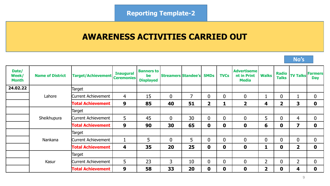## **AWARENESS ACTIVITIES CARRIED OUT**

| Date/<br>Week/<br><b>Month</b> | <b>Name of District</b> | <b>Target/Achievement</b> | <b>Inaugural</b><br><b>Ceremonies</b> | <b>Banners to</b><br>be<br><b>Displayed</b> | <b>Streamers Standee's</b> |    | <b>SMDs</b>    | <b>TVCs</b>    | <b>Advertiseme</b><br>nt in Print<br><b>Media</b> | <b>Walks</b>   | <b>Radio</b><br><b>Talks</b> | <b>TV Talks Farmers</b> | <b>Day</b>  |
|--------------------------------|-------------------------|---------------------------|---------------------------------------|---------------------------------------------|----------------------------|----|----------------|----------------|---------------------------------------------------|----------------|------------------------------|-------------------------|-------------|
| 24.02.22                       |                         | Target                    |                                       |                                             |                            |    |                |                |                                                   |                |                              |                         |             |
|                                | Lahore                  | Current Achievement       | 4                                     | 15                                          | $\mathbf{0}$               | 7  | $\mathbf{0}$   | $\overline{0}$ | $\boldsymbol{0}$                                  |                | $\overline{0}$               | п                       | $\mathbf 0$ |
|                                |                         | <b>Total Achievement</b>  | 9                                     | 85                                          | 40                         | 51 | $\overline{2}$ | 1              | $\overline{2}$                                    | 4              | $\overline{2}$               | 3                       | $\mathbf 0$ |
|                                |                         | Target                    |                                       |                                             |                            |    |                |                |                                                   |                |                              |                         |             |
|                                | Sheikhupura             | Current Achievement       | 5                                     | 45                                          | $\mathbf{0}$               | 30 | $\mathbf{0}$   | $\overline{0}$ | $\overline{0}$                                    | 5              | $\mathbf{0}$                 | $\overline{4}$          | $\mathbf 0$ |
|                                |                         | <b>Total Achievement</b>  | 9                                     | 90                                          | 30                         | 65 | $\mathbf 0$    | $\mathbf 0$    | $\mathbf 0$                                       | 6              | $\mathbf 0$                  | 7                       | $\mathbf 0$ |
|                                |                         | Target                    |                                       |                                             |                            |    |                |                |                                                   |                |                              |                         |             |
|                                | Nankana                 | Current Achievement       |                                       | 5                                           | $\overline{0}$             | 5  | $\mathbf{0}$   | $\mathbf{0}$   | $\mathbf{0}$                                      | $\Omega$       | $\overline{0}$               | $\overline{0}$          | $\mathbf 0$ |
|                                |                         | <b>Total Achievement</b>  | 4                                     | 35                                          | 20                         | 25 | $\mathbf 0$    | $\mathbf 0$    | $\mathbf 0$                                       |                | $\mathbf 0$                  | $\overline{\mathbf{2}}$ | $\mathbf 0$ |
|                                |                         | Target                    |                                       |                                             |                            |    |                |                |                                                   |                |                              |                         |             |
|                                | Kasur                   | Current Achievement       | 5                                     | 23                                          | $\overline{3}$             | 10 | $\mathbf{0}$   | $\bf{0}$       | $\boldsymbol{0}$                                  | $\overline{2}$ | $\bf{0}$                     | $\overline{2}$          | $\mathbf 0$ |
|                                |                         | <b>Total Achievement</b>  | 9                                     | 58                                          | 33                         | 20 | $\mathbf 0$    | $\mathbf 0$    | $\mathbf 0$                                       | $\mathbf{2}$   | $\mathbf 0$                  | 4                       | $\mathbf 0$ |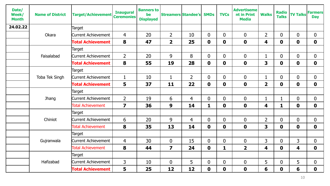| Date/<br>Week/<br><b>Month</b> | <b>Name of District</b> | <b>Target/Achievement</b>  | <b>Inaugural</b><br><b>Ceremonies</b> | <b>Banners to</b><br>be<br><b>Displayed</b> | <b>Streamers Standee's</b> |                | <b>SMDs</b>      | <b>TVCs</b>    | <b>Advertiseme</b><br>nt in Print<br><b>Media</b> | <b>Walks</b>            | <b>Radio</b><br><b>Talks</b> | <b>TV Talks</b>         | <b>Farmers</b><br><b>Day</b> |
|--------------------------------|-------------------------|----------------------------|---------------------------------------|---------------------------------------------|----------------------------|----------------|------------------|----------------|---------------------------------------------------|-------------------------|------------------------------|-------------------------|------------------------------|
| 24.02.22                       |                         | Target                     |                                       |                                             |                            |                |                  |                |                                                   |                         |                              |                         |                              |
|                                | Okara                   | <b>Current Achievement</b> | $\overline{4}$                        | 20                                          | $\overline{2}$             | 10             | $\overline{0}$   | $\mathbf 0$    | $\overline{0}$                                    | $\overline{2}$          | $\mathbf{0}$                 | $\overline{0}$          | $\overline{0}$               |
|                                |                         | <b>Total Achievement</b>   | 8                                     | 47                                          | $\overline{2}$             | 25             | $\mathbf 0$      | $\mathbf 0$    | $\mathbf 0$                                       | 4                       | $\mathbf 0$                  | $\mathbf 0$             | $\mathbf 0$                  |
|                                |                         | Target                     |                                       |                                             |                            |                |                  |                |                                                   |                         |                              |                         |                              |
|                                | Faisalabad              | <b>Current Achievement</b> | $\overline{2}$                        | 20                                          | 9                          | 8              | $\overline{0}$   | $\overline{0}$ | $\mathbf 0$                                       |                         | $\overline{0}$               | $\overline{0}$          | $\boldsymbol{0}$             |
|                                |                         | <b>Total Achievement</b>   | 8                                     | 55                                          | 19                         | 28             | $\mathbf 0$      | $\mathbf 0$    | $\mathbf 0$                                       | 3                       | $\mathbf 0$                  | $\mathbf 0$             | $\mathbf 0$                  |
|                                |                         | Target                     |                                       |                                             |                            |                |                  |                |                                                   |                         |                              |                         |                              |
|                                | Toba Tek Singh          | <b>Current Achievement</b> | $\mathbf{1}$                          | 10                                          | $\mathbf{1}$               | $\overline{2}$ | $\overline{0}$   | 0              | $\mathbf 0$                                       |                         | $\overline{0}$               | $\boldsymbol{0}$        | $\boldsymbol{0}$             |
|                                |                         | <b>Total Achievement</b>   | 5                                     | 37                                          | 11                         | 22             | $\mathbf 0$      | $\mathbf 0$    | $\mathbf 0$                                       | $\overline{\mathbf{2}}$ | $\mathbf 0$                  | $\mathbf 0$             | $\mathbf 0$                  |
|                                |                         | Target                     |                                       |                                             |                            |                |                  |                |                                                   |                         |                              |                         |                              |
|                                | Jhang                   | Current Achievement        | $\overline{2}$                        | 19                                          | 6                          | $\overline{4}$ | $\overline{0}$   | $\overline{0}$ | $\overline{0}$                                    |                         | $\mathbf{1}$                 | $\boldsymbol{0}$        | $\boldsymbol{0}$             |
|                                |                         | <b>Total Achievement</b>   | $\overline{\mathbf{z}}$               | 36                                          | 9                          | 14             | 1                | $\mathbf 0$    | $\mathbf 0$                                       | 4                       | $\mathbf{1}$                 | $\mathbf 0$             | $\mathbf 0$                  |
|                                |                         | Target                     |                                       |                                             |                            |                |                  |                |                                                   |                         |                              |                         |                              |
|                                | Chiniot                 | Current Achievement        | 6                                     | 20                                          | 9                          | 4              | $\overline{0}$   | 0              | $\mathbf 0$                                       | $\overline{2}$          | $\overline{0}$               | $\boldsymbol{0}$        | $\boldsymbol{0}$             |
|                                |                         | <b>Total Achievement</b>   | 8                                     | 35                                          | 13                         | 14             | $\mathbf 0$      | $\mathbf 0$    | $\mathbf 0$                                       | $\overline{\mathbf{3}}$ | $\mathbf 0$                  | $\mathbf 0$             | $\mathbf 0$                  |
|                                |                         | <b>Target</b>              |                                       |                                             |                            |                |                  |                |                                                   |                         |                              |                         |                              |
|                                | Gujranwala              | Current Achievement        | $\overline{4}$                        | 30                                          | $\mathbf 0$                | 15             | $\overline{0}$   | $\overline{0}$ | $\overline{0}$                                    | $\mathsf{3}$            | $\mathbf{0}$                 | $\overline{3}$          | $\overline{0}$               |
|                                |                         | <b>Total Achievement</b>   | 8                                     | 44                                          | $\overline{\mathbf{z}}$    | 24             | $\boldsymbol{0}$ | 1              | $\overline{\mathbf{2}}$                           | 4                       | $\mathbf 0$                  | $\overline{\mathbf{4}}$ | $\mathbf 0$                  |
|                                |                         | Target                     |                                       |                                             |                            |                |                  |                |                                                   |                         |                              |                         |                              |
|                                | Hafizabad               | <b>Current Achievement</b> | 3                                     | 10                                          | $\mathbf 0$                | 5              | $\overline{0}$   | $\overline{0}$ | $\overline{0}$                                    | 5                       | $\overline{0}$               | 5                       | $\boldsymbol{0}$             |
|                                |                         | <b>Total Achievement</b>   | 5                                     | 25                                          | 12                         | 12             | $\mathbf 0$      | $\mathbf 0$    | $\mathbf 0$                                       | 6                       | $\mathbf 0$                  | $6\phantom{1}6$         | $\mathbf 0$                  |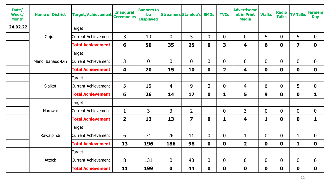| Date/<br>Week/<br><b>Month</b> | <b>Name of District</b> | <b>Target/Achievement</b>  | <b>Inaugural</b><br><b>Ceremonies</b> | <b>Banners to</b><br>be<br><b>Displayed</b> | <b>Streamers Standee's</b> |                         | <b>SMDs</b>    | <b>TVCs</b>             | <b>Advertiseme</b><br>nt in Print<br><b>Media</b> | <b>Walks</b>   | <b>Radio</b><br><b>Talks</b> | <b>TV Talks Farmers</b> | <b>Day</b>   |
|--------------------------------|-------------------------|----------------------------|---------------------------------------|---------------------------------------------|----------------------------|-------------------------|----------------|-------------------------|---------------------------------------------------|----------------|------------------------------|-------------------------|--------------|
| 24.02.22                       |                         | Target                     |                                       |                                             |                            |                         |                |                         |                                                   |                |                              |                         |              |
|                                | Gujrat                  | <b>Current Achievement</b> | 3                                     | 10                                          | $\mathbf 0$                | 5                       | $\mathbf 0$    | $\boldsymbol{0}$        | $\mathbf 0$                                       | 5              | $\mathbf{0}$                 | 5                       | $\mathbf 0$  |
|                                |                         | <b>Total Achievement</b>   | 6                                     | 50                                          | 35                         | 25                      | $\mathbf 0$    | 3                       | 4                                                 | 6              | $\mathbf 0$                  | $\overline{\mathbf{z}}$ | $\mathbf 0$  |
|                                |                         | Target                     |                                       |                                             |                            |                         |                |                         |                                                   |                |                              |                         |              |
|                                | Mandi Bahaud-Din        | <b>Current Achievement</b> | $\overline{3}$                        | $\mathbf 0$                                 | $\mathbf{0}$               | $\overline{0}$          | $\overline{0}$ | $\boldsymbol{0}$        | $\mathbf 0$                                       | $\overline{0}$ | $\overline{0}$               | $\boldsymbol{0}$        | $\mathbf 0$  |
|                                |                         | <b>Total Achievement</b>   | $\overline{\mathbf{4}}$               | 20                                          | 15                         | 10                      | $\mathbf 0$    | $\overline{\mathbf{2}}$ | 4                                                 | $\mathbf 0$    | $\mathbf 0$                  | $\mathbf 0$             | $\mathbf 0$  |
|                                |                         | Target                     |                                       |                                             |                            |                         |                |                         |                                                   |                |                              |                         |              |
|                                | <b>Sialkot</b>          | Current Achievement        | $\overline{3}$                        | 16                                          | $\overline{4}$             | 9                       | $\overline{0}$ | $\overline{0}$          | $\overline{4}$                                    | 6              | $\overline{0}$               | 5                       | $\mathbf 0$  |
|                                |                         | <b>Total Achievement</b>   | 6                                     | 26                                          | 14                         | 17                      | $\mathbf 0$    | $\mathbf{1}$            | 5                                                 | 9              | $\mathbf 0$                  | $\mathbf 0$             | $\mathbf{1}$ |
|                                |                         | Target                     |                                       |                                             |                            |                         |                |                         |                                                   |                |                              |                         |              |
|                                | Narowal                 | <b>Current Achievement</b> | $\mathbf{1}$                          | 3                                           | 3                          | $\overline{2}$          |                | $\mathbf 0$             | 3                                                 | $\overline{0}$ | $\overline{0}$               | $\mathbf 0$             | $\mathbf 0$  |
|                                |                         | <b>Total Achievement</b>   | $\overline{\mathbf{2}}$               | 13                                          | 13                         | $\overline{\mathbf{z}}$ | $\mathbf 0$    | $\mathbf{1}$            | 4                                                 | $\mathbf{1}$   | $\mathbf 0$                  | $\mathbf 0$             | $\mathbf{1}$ |
|                                |                         | <b>Target</b>              |                                       |                                             |                            |                         |                |                         |                                                   |                |                              |                         |              |
|                                | Rawalpindi              | <b>Current Achievement</b> | 6                                     | 31                                          | 26                         | 11                      | $\mathbf{0}$   | $\boldsymbol{0}$        | 1                                                 | $\overline{0}$ | $\mathbf{0}$                 | $\mathbf{1}$            | $\mathbf 0$  |
|                                |                         | <b>Total Achievement</b>   | 13                                    | 196                                         | 186                        | 98                      | $\mathbf 0$    | $\mathbf 0$             | $\overline{\mathbf{2}}$                           | $\mathbf 0$    | $\mathbf 0$                  | $\mathbf{1}$            | $\mathbf 0$  |
|                                |                         | Target                     |                                       |                                             |                            |                         |                |                         |                                                   |                |                              |                         |              |
|                                | Attock                  | <b>Current Achievement</b> | 8                                     | 131                                         | $\mathbf 0$                | 40                      | $\overline{0}$ | $\boldsymbol{0}$        | $\boldsymbol{0}$                                  | $\overline{0}$ | $\mathbf{0}$                 | $\mathbf 0$             | $\mathbf 0$  |
|                                |                         | <b>Total Achievement</b>   | 11                                    | 199                                         | $\mathbf 0$                | 44                      | $\mathbf 0$    | $\mathbf 0$             | $\mathbf 0$                                       | $\mathbf 0$    | $\mathbf 0$                  | $\mathbf 0$             | $\mathbf 0$  |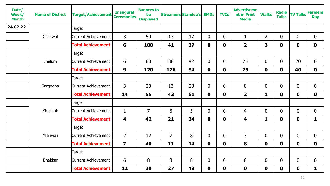| Date/<br>Week/<br><b>Month</b> | <b>Name of District</b> | <b>Target/Achievement</b> | <b>Inaugural</b><br><b>Ceremonies</b> | <b>Banners to</b><br>be<br><b>Displayed</b> | <b>Streamers Standee's</b> |    | <b>SMDs</b>    | <b>TVCs</b>      | <b>Advertiseme</b><br>nt in Print<br><b>Media</b> | <b>Walks</b>            | <b>Radio</b><br><b>Talks</b> | <b>TV Talks</b> | <b>Farmers</b><br><b>Day</b> |
|--------------------------------|-------------------------|---------------------------|---------------------------------------|---------------------------------------------|----------------------------|----|----------------|------------------|---------------------------------------------------|-------------------------|------------------------------|-----------------|------------------------------|
| 24.02.22                       |                         | Target                    |                                       |                                             |                            |    |                |                  |                                                   |                         |                              |                 |                              |
|                                | Chakwal                 | Current Achievement       | $\overline{3}$                        | 50                                          | 13                         | 17 | $\overline{0}$ | $\mathbf 0$      | $\mathbf{1}$                                      | $\overline{2}$          | $\overline{0}$               | $\mathbf{0}$    | $\mathbf 0$                  |
|                                |                         | <b>Total Achievement</b>  | 6                                     | 100                                         | 41                         | 37 | $\mathbf 0$    | $\mathbf 0$      | $\overline{\mathbf{2}}$                           | $\overline{\mathbf{3}}$ | $\mathbf 0$                  | $\mathbf 0$     | $\mathbf 0$                  |
|                                |                         | Target                    |                                       |                                             |                            |    |                |                  |                                                   |                         |                              |                 |                              |
|                                | Jhelum                  | Current Achievement       | 6                                     | 80                                          | 88                         | 42 | $\overline{0}$ | $\boldsymbol{0}$ | 25                                                | $\overline{0}$          | $\overline{0}$               | 20              | $\mathbf 0$                  |
|                                |                         | <b>Total Achievement</b>  | 9                                     | 120                                         | 176                        | 84 | $\mathbf 0$    | $\mathbf 0$      | 25                                                | $\mathbf 0$             | $\mathbf{0}$                 | 40              | $\mathbf 0$                  |
|                                |                         | Target                    |                                       |                                             |                            |    |                |                  |                                                   |                         |                              |                 |                              |
|                                | Sargodha                | Current Achievement       | $\overline{3}$                        | 20                                          | 13                         | 23 | $\mathbf 0$    | $\boldsymbol{0}$ | $\boldsymbol{0}$                                  | $\overline{0}$          | $\overline{0}$               | $\mathbf{0}$    | $\mathbf 0$                  |
|                                |                         | <b>Total Achievement</b>  | 14                                    | 55                                          | 43                         | 61 | $\mathbf 0$    | $\mathbf 0$      | $\overline{\mathbf{2}}$                           | 1                       | $\mathbf 0$                  | $\mathbf 0$     | $\mathbf 0$                  |
|                                |                         | Target                    |                                       |                                             |                            |    |                |                  |                                                   |                         |                              |                 |                              |
|                                | Khushab                 | Current Achievement       | $\mathbf{1}$                          | $\overline{7}$                              | 5                          | 5  | $\mathbf{0}$   | $\boldsymbol{0}$ | 4                                                 | $\overline{0}$          | $\overline{0}$               | $\overline{0}$  | $\mathbf 0$                  |
|                                |                         | <b>Total Achievement</b>  | 4                                     | 42                                          | 21                         | 34 | $\mathbf 0$    | $\mathbf 0$      | 4                                                 | 1                       | $\mathbf 0$                  | $\mathbf 0$     | $\mathbf{1}$                 |
|                                |                         | Target                    |                                       |                                             |                            |    |                |                  |                                                   |                         |                              |                 |                              |
|                                | Mianwali                | Current Achievement       | $\overline{2}$                        | 12                                          | $\overline{7}$             | 8  | $\mathbf{0}$   | $\boldsymbol{0}$ | 3                                                 | $\mathbf 0$             | $\mathbf 0$                  | $\mathbf 0$     | $\mathbf 0$                  |
|                                |                         | <b>Total Achievement</b>  | $\overline{\mathbf{z}}$               | 40                                          | 11                         | 14 | $\mathbf 0$    | $\mathbf 0$      | 8                                                 | $\mathbf 0$             | $\mathbf 0$                  | $\mathbf 0$     | $\mathbf 0$                  |
|                                |                         | Target                    |                                       |                                             |                            |    |                |                  |                                                   |                         |                              |                 |                              |
|                                | <b>Bhakkar</b>          | Current Achievement       | 6                                     | 8                                           | $\mathsf{3}$               | 8  | $\mathbf{0}$   | $\boldsymbol{0}$ | $\mathbf 0$                                       | $\overline{0}$          | $\mathbf 0$                  | $\mathbf 0$     | $\mathbf 0$                  |
|                                |                         | <b>Total Achievement</b>  | 12                                    | 30                                          | 27                         | 43 | $\mathbf 0$    | $\mathbf 0$      | $\mathbf 0$                                       | $\mathbf 0$             | $\mathbf 0$                  | $\mathbf 0$     | $\mathbf{1}$                 |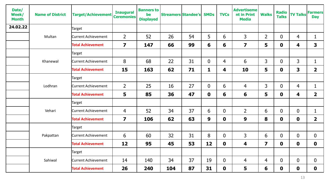| Date/<br>Week/<br><b>Month</b> | <b>Name of District</b> | <b>Target/Achievement</b>  | <b>Inaugural</b><br><b>Ceremonies</b> | <b>Banners to</b><br>be<br><b>Displayed</b> | <b>Streamers Standee's</b> |    | <b>SMDs</b>    | <b>TVCs</b>      | <b>Advertiseme</b><br>nt in Print<br><b>Media</b> | <b>Walks</b>            | <b>Radio</b><br><b>Talks</b> | <b>TV Talks Farmers</b> | <b>Day</b>              |
|--------------------------------|-------------------------|----------------------------|---------------------------------------|---------------------------------------------|----------------------------|----|----------------|------------------|---------------------------------------------------|-------------------------|------------------------------|-------------------------|-------------------------|
| 24.02.22                       |                         | Target                     |                                       |                                             |                            |    |                |                  |                                                   |                         |                              |                         |                         |
|                                | Multan                  | Current Achievement        | $\overline{2}$                        | 52                                          | 26                         | 54 | 5              | 6                | 3                                                 | 2 <sup>1</sup>          | $\mathbf{0}$                 | $\overline{4}$          | 1                       |
|                                |                         | <b>Total Achievement</b>   | $\overline{\mathbf{z}}$               | 147                                         | 66                         | 99 | 6              | 6                | $\overline{\mathbf{z}}$                           | 5                       | $\mathbf 0$                  | 4                       | $\mathbf{3}$            |
|                                | Khanewal                | Target                     |                                       |                                             |                            |    |                |                  |                                                   |                         |                              |                         |                         |
|                                |                         | <b>Current Achievement</b> | 8                                     | 68                                          | 22                         | 31 | $\overline{0}$ | 4                | 6                                                 | $\mathsf{3}$            | $\mathbf{0}$                 | 3                       | $\mathbf 1$             |
|                                |                         | <b>Total Achievement</b>   | 15                                    | 163                                         | 62                         | 71 | 1              | 4                | 10                                                | 5                       | $\mathbf 0$                  | 3                       | $\overline{2}$          |
|                                |                         | Target                     |                                       |                                             |                            |    |                |                  |                                                   |                         |                              |                         |                         |
|                                | Lodhran                 | <b>Current Achievement</b> | $\overline{2}$                        | 25                                          | 16                         | 27 | $\overline{0}$ | 6                | 4                                                 | 3                       | $\overline{0}$               | $\overline{4}$          | $\mathbf{1}$            |
|                                |                         | <b>Total Achievement</b>   | 5                                     | 85                                          | 36                         | 47 | $\mathbf 0$    | 6                | 6                                                 | 5                       | $\mathbf 0$                  | 4                       | $\overline{\mathbf{2}}$ |
|                                | Vehari                  | Target                     |                                       |                                             |                            |    |                |                  |                                                   |                         |                              |                         |                         |
|                                |                         | Current Achievement        | $\overline{4}$                        | 52                                          | 34                         | 37 | 6              | $\overline{0}$   | $\overline{2}$                                    | 6                       | $\overline{0}$               | $\overline{0}$          | $\mathbf{1}$            |
|                                |                         | <b>Total Achievement</b>   | $\overline{\mathbf{z}}$               | 106                                         | 62                         | 63 | 9              | $\mathbf 0$      | 9                                                 | 8                       | $\mathbf 0$                  | $\boldsymbol{0}$        | $\overline{\mathbf{2}}$ |
|                                |                         | Target                     |                                       |                                             |                            |    |                |                  |                                                   |                         |                              |                         |                         |
|                                | Pakpattan               | Current Achievement        | 6                                     | 60                                          | 32                         | 31 | 8              | $\boldsymbol{0}$ | 3                                                 | 6                       | $\overline{0}$               | $\mathbf 0$             | $\mathbf 0$             |
|                                |                         | <b>Total Achievement</b>   | 12                                    | 95                                          | 45                         | 53 | 12             | $\mathbf 0$      | 4                                                 | $\overline{\mathbf{z}}$ | $\mathbf 0$                  | $\mathbf 0$             | $\mathbf 0$             |
|                                |                         | Target                     |                                       |                                             |                            |    |                |                  |                                                   |                         |                              |                         |                         |
|                                | Sahiwal                 | <b>Current Achievement</b> | 14                                    | 140                                         | 34                         | 37 | 19             | $\overline{0}$   | 4                                                 | 4                       | $\mathbf{0}$                 | $\boldsymbol{0}$        | $\mathbf 0$             |
|                                |                         | <b>Total Achievement</b>   | 26                                    | 240                                         | 104                        | 87 | 31             | $\mathbf 0$      | 5                                                 | 6                       | $\mathbf 0$                  | $\mathbf 0$             | $\mathbf 0$             |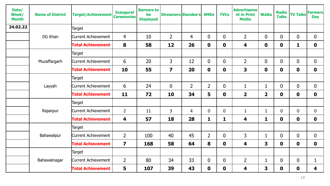| Date/<br>Week/<br><b>Month</b> | <b>Name of District</b> | <b>Target/Achievement</b>  | <b>Inaugural</b><br><b>Ceremonies</b> | <b>Banners to</b><br>be<br><b>Displayed</b> | <b>Streamers Standee's</b> |                | <b>SMDs</b>    | <b>TVCs</b>    | <b>Advertiseme</b><br>nt in Print<br><b>Media</b> | <b>Walks</b>            | <b>Radio</b><br><b>Talks</b> | <b>TV Talks</b>  | <b>Farmers</b><br><b>Day</b> |
|--------------------------------|-------------------------|----------------------------|---------------------------------------|---------------------------------------------|----------------------------|----------------|----------------|----------------|---------------------------------------------------|-------------------------|------------------------------|------------------|------------------------------|
| 24.02.22                       |                         | Target                     |                                       |                                             |                            |                |                |                |                                                   |                         |                              |                  |                              |
|                                | DG Khan                 | <b>Current Achievement</b> | $\overline{4}$                        | 10                                          | $\overline{2}$             | 4              | $\overline{0}$ | $\mathbf 0$    | $\overline{2}$                                    | $\overline{0}$          | $\overline{0}$               | $\mathbf 0$      | $\mathbf 0$                  |
|                                |                         | <b>Total Achievement</b>   | 8                                     | 58                                          | 12                         | 26             | $\mathbf 0$    | $\mathbf 0$    | $\overline{\mathbf{4}}$                           | $\mathbf 0$             | $\mathbf 0$                  | $\mathbf{1}$     | $\mathbf 0$                  |
|                                | Muzaffargarh            | Target                     |                                       |                                             |                            |                |                |                |                                                   |                         |                              |                  |                              |
|                                |                         | Current Achievement        | 6                                     | 20                                          | $\mathsf{3}$               | 12             | $\overline{0}$ | $\overline{0}$ | $\overline{2}$                                    | $\overline{0}$          | $\overline{0}$               | $\mathbf{0}$     | $\overline{0}$               |
|                                |                         | <b>Total Achievement</b>   | 10                                    | 55                                          | $\overline{\mathbf{z}}$    | 20             | $\mathbf 0$    | $\mathbf 0$    | 3                                                 | $\mathbf 0$             | $\mathbf 0$                  | $\mathbf 0$      | $\mathbf 0$                  |
|                                |                         | Target                     |                                       |                                             |                            |                |                |                |                                                   |                         |                              |                  |                              |
|                                | Layyah                  | Current Achievement        | 6                                     | 24                                          | $\mathbf 0$                | $\overline{2}$ | $\overline{2}$ | $\mathbf 0$    | 1                                                 | $\mathbf{1}$            | $\overline{0}$               | $\mathbf 0$      | $\overline{0}$               |
|                                |                         | <b>Total Achievement</b>   | 11                                    | 72                                          | 10                         | 34             | 5              | $\mathbf 0$    | $\overline{2}$                                    | $\overline{\mathbf{2}}$ | $\mathbf 0$                  | $\mathbf 0$      | $\mathbf 0$                  |
|                                | Rajanpur                | Target                     |                                       |                                             |                            |                |                |                |                                                   |                         |                              |                  |                              |
|                                |                         | Current Achievement        | $\overline{2}$                        | 11                                          | $\overline{3}$             | $\overline{4}$ | $\mathbf 0$    | $\mathbf 0$    | $\mathbf{1}$                                      | $\mathbf{1}$            | $\overline{0}$               | $\mathbf{0}$     | $\mathbf 0$                  |
|                                |                         | <b>Total Achievement</b>   | 4                                     | 57                                          | 18                         | 28             | $\mathbf{1}$   | 1              | 4                                                 | 1                       | $\mathbf 0$                  | $\mathbf 0$      | $\mathbf 0$                  |
|                                |                         | Target                     |                                       |                                             |                            |                |                |                |                                                   |                         |                              |                  |                              |
|                                | Bahawalpur              | Current Achievement        | $\overline{2}$                        | 100                                         | 40                         | 45             | $\overline{2}$ | $\mathbf 0$    | 3                                                 | $\mathbf{1}$            | $\overline{0}$               | $\mathbf 0$      | $\overline{0}$               |
|                                |                         | <b>Total Achievement</b>   | $\overline{\mathbf{z}}$               | 168                                         | 58                         | 64             | 8              | $\mathbf 0$    | 4                                                 | $\overline{\mathbf{3}}$ | $\mathbf 0$                  | $\mathbf 0$      | $\mathbf 0$                  |
|                                |                         | Target                     |                                       |                                             |                            |                |                |                |                                                   |                         |                              |                  |                              |
|                                | Bahawalnagar            | <b>Current Achievement</b> | $\overline{2}$                        | 80                                          | 34                         | 33             | $\mathbf{0}$   | $\mathbf 0$    | $\overline{2}$                                    | $\mathbf{1}$            | $\overline{0}$               | $\mathbf{0}$     | $\mathbf{1}$                 |
|                                |                         | <b>Total Achievement</b>   | 5                                     | 107                                         | 39                         | 43             | $\mathbf 0$    | $\mathbf 0$    | 4                                                 | 3                       | $\mathbf 0$                  | $\boldsymbol{0}$ | 4                            |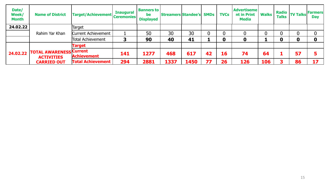| Date/<br><b>Week/</b><br><b>Month</b> | <b>Name of District</b>                             | <b>Target/Achievement</b>  | <b>Inaugural</b><br><b>Ceremonies</b> | <b>Banners to</b><br>be<br><b>Displayed</b> | <b>Streamers Standee's</b> |      | <b>SMDs</b> | <b>TVCs</b> | <b>Advertiseme</b><br>nt in Print<br><b>Media</b> | <b>Walks</b> | <b>Radio</b><br><b>Talks</b> | <b>TV Talks</b> | <b>Farmers</b><br><b>Day</b> |
|---------------------------------------|-----------------------------------------------------|----------------------------|---------------------------------------|---------------------------------------------|----------------------------|------|-------------|-------------|---------------------------------------------------|--------------|------------------------------|-----------------|------------------------------|
| 24.02.22                              |                                                     | Target                     |                                       |                                             |                            |      |             |             |                                                   |              |                              |                 |                              |
|                                       | Rahim Yar Khan                                      | <b>Current Achievement</b> |                                       | 50                                          | 30                         | 30   |             |             |                                                   |              |                              |                 |                              |
|                                       |                                                     | Total Achievement          |                                       | 90                                          | 40                         | 41   |             | 0           |                                                   |              | 0                            | 0               | 0                            |
| 24.02.22                              |                                                     | <b>Target</b>              |                                       |                                             |                            |      |             |             |                                                   |              |                              |                 |                              |
|                                       | <b>TOTAL AWARENESS Current</b><br><b>ACTIVITIES</b> | <b>Achievement</b>         | 141                                   | 1277                                        | 468                        | 617  | 42          | 16          | 74                                                | 64           |                              | 57              |                              |
|                                       | <b>CARRIED OUT</b>                                  | <b>Total Achievement</b>   | 294                                   | 2881                                        | 1337                       | 1450 | 77          | 26          | 126                                               | 106          |                              | 86              | 17                           |